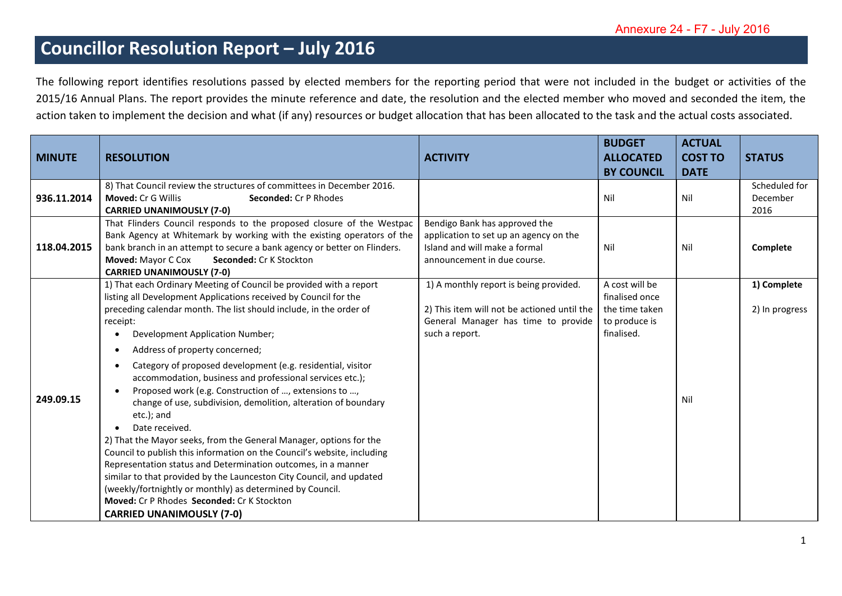## **Councillor Resolution Report – July 2016**

The following report identifies resolutions passed by elected members for the reporting period that were not included in the budget or activities of the 2015/16 Annual Plans. The report provides the minute reference and date, the resolution and the elected member who moved and seconded the item, the action taken to implement the decision and what (if any) resources or budget allocation that has been allocated to the task and the actual costs associated.

| <b>MINUTE</b> | <b>RESOLUTION</b>                                                                                                                                                                                                                                                                                                                                                                                                                                                                                                                                                                                                                                                                                                                                                                                                                                                                                                                                                                        | <b>ACTIVITY</b>                                                                                                                                | <b>BUDGET</b><br><b>ALLOCATED</b><br><b>BY COUNCIL</b>                            | <b>ACTUAL</b><br><b>COST TO</b><br><b>DATE</b> | <b>STATUS</b>                     |
|---------------|------------------------------------------------------------------------------------------------------------------------------------------------------------------------------------------------------------------------------------------------------------------------------------------------------------------------------------------------------------------------------------------------------------------------------------------------------------------------------------------------------------------------------------------------------------------------------------------------------------------------------------------------------------------------------------------------------------------------------------------------------------------------------------------------------------------------------------------------------------------------------------------------------------------------------------------------------------------------------------------|------------------------------------------------------------------------------------------------------------------------------------------------|-----------------------------------------------------------------------------------|------------------------------------------------|-----------------------------------|
| 936.11.2014   | 8) That Council review the structures of committees in December 2016.<br><b>Moved: Cr G Willis</b><br><b>Seconded: Cr P Rhodes</b><br><b>CARRIED UNANIMOUSLY (7-0)</b>                                                                                                                                                                                                                                                                                                                                                                                                                                                                                                                                                                                                                                                                                                                                                                                                                   |                                                                                                                                                | Nil                                                                               | Nil                                            | Scheduled for<br>December<br>2016 |
| 118.04.2015   | That Flinders Council responds to the proposed closure of the Westpac<br>Bank Agency at Whitemark by working with the existing operators of the<br>bank branch in an attempt to secure a bank agency or better on Flinders.<br>Moved: Mayor C Cox<br><b>Seconded: Cr K Stockton</b><br><b>CARRIED UNANIMOUSLY (7-0)</b>                                                                                                                                                                                                                                                                                                                                                                                                                                                                                                                                                                                                                                                                  | Bendigo Bank has approved the<br>application to set up an agency on the<br>Island and will make a formal<br>announcement in due course.        | Nil                                                                               | Nil                                            | Complete                          |
| 249.09.15     | 1) That each Ordinary Meeting of Council be provided with a report<br>listing all Development Applications received by Council for the<br>preceding calendar month. The list should include, in the order of<br>receipt:<br>Development Application Number;<br>Address of property concerned;<br>Category of proposed development (e.g. residential, visitor<br>accommodation, business and professional services etc.);<br>Proposed work (e.g. Construction of , extensions to ,<br>change of use, subdivision, demolition, alteration of boundary<br>etc.); and<br>Date received.<br>2) That the Mayor seeks, from the General Manager, options for the<br>Council to publish this information on the Council's website, including<br>Representation status and Determination outcomes, in a manner<br>similar to that provided by the Launceston City Council, and updated<br>(weekly/fortnightly or monthly) as determined by Council.<br>Moved: Cr P Rhodes Seconded: Cr K Stockton | 1) A monthly report is being provided.<br>2) This item will not be actioned until the<br>General Manager has time to provide<br>such a report. | A cost will be<br>finalised once<br>the time taken<br>to produce is<br>finalised. | Nil                                            | 1) Complete<br>2) In progress     |
|               | <b>CARRIED UNANIMOUSLY (7-0)</b>                                                                                                                                                                                                                                                                                                                                                                                                                                                                                                                                                                                                                                                                                                                                                                                                                                                                                                                                                         |                                                                                                                                                |                                                                                   |                                                |                                   |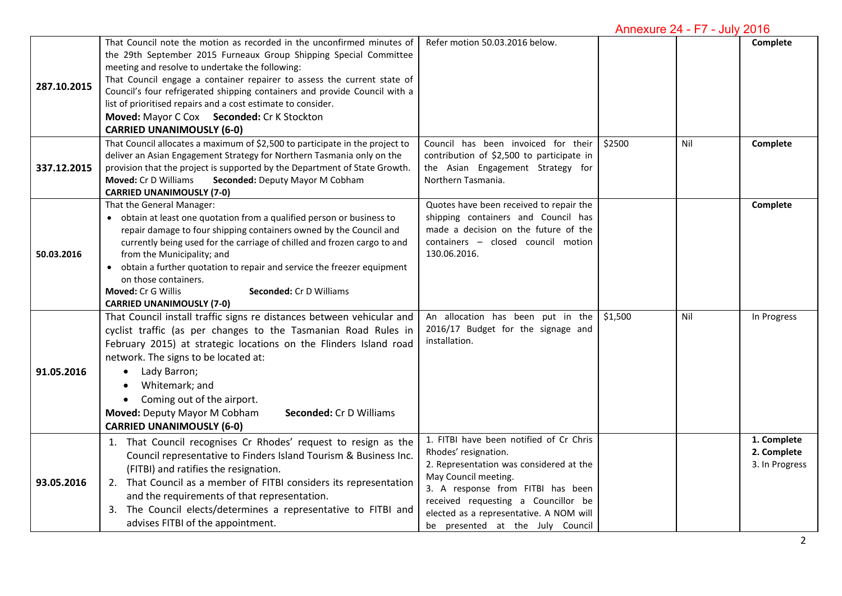## Annexure 24 - F7 - July 2016

| 287.10.2015 | That Council note the motion as recorded in the unconfirmed minutes of<br>the 29th September 2015 Furneaux Group Shipping Special Committee<br>meeting and resolve to undertake the following:<br>That Council engage a container repairer to assess the current state of<br>Council's four refrigerated shipping containers and provide Council with a<br>list of prioritised repairs and a cost estimate to consider.<br>Moved: Mayor C Cox Seconded: Cr K Stockton      | Refer motion 50.03.2016 below.                                                                                                                                                                                                                                                                |         |     | Complete                                     |
|-------------|----------------------------------------------------------------------------------------------------------------------------------------------------------------------------------------------------------------------------------------------------------------------------------------------------------------------------------------------------------------------------------------------------------------------------------------------------------------------------|-----------------------------------------------------------------------------------------------------------------------------------------------------------------------------------------------------------------------------------------------------------------------------------------------|---------|-----|----------------------------------------------|
|             | <b>CARRIED UNANIMOUSLY (6-0)</b>                                                                                                                                                                                                                                                                                                                                                                                                                                           |                                                                                                                                                                                                                                                                                               |         |     |                                              |
| 337.12.2015 | That Council allocates a maximum of \$2,500 to participate in the project to<br>deliver an Asian Engagement Strategy for Northern Tasmania only on the<br>provision that the project is supported by the Department of State Growth.<br>Moved: Cr D Williams<br>Seconded: Deputy Mayor M Cobham<br><b>CARRIED UNANIMOUSLY (7-0)</b>                                                                                                                                        | Council has been invoiced for their<br>contribution of \$2,500 to participate in<br>the Asian Engagement Strategy for<br>Northern Tasmania.                                                                                                                                                   | \$2500  | Nil | Complete                                     |
| 50.03.2016  | That the General Manager:<br>• obtain at least one quotation from a qualified person or business to<br>repair damage to four shipping containers owned by the Council and<br>currently being used for the carriage of chilled and frozen cargo to and<br>from the Municipality; and<br>obtain a further quotation to repair and service the freezer equipment<br>on those containers.<br>Moved: Cr G Willis<br>Seconded: Cr D Williams<br><b>CARRIED UNANIMOUSLY (7-0)</b> | Quotes have been received to repair the<br>shipping containers and Council has<br>made a decision on the future of the<br>containers - closed council motion<br>130.06.2016.                                                                                                                  |         |     | Complete                                     |
| 91.05.2016  | That Council install traffic signs re distances between vehicular and<br>cyclist traffic (as per changes to the Tasmanian Road Rules in<br>February 2015) at strategic locations on the Flinders Island road<br>network. The signs to be located at:<br>Lady Barron;<br>$\bullet$<br>Whitemark; and<br>• Coming out of the airport.<br>Moved: Deputy Mayor M Cobham<br>Seconded: Cr D Williams<br><b>CARRIED UNANIMOUSLY (6-0)</b>                                         | An allocation has been put in the<br>2016/17 Budget for the signage and<br>installation.                                                                                                                                                                                                      | \$1,500 | Nil | In Progress                                  |
| 93.05.2016  | 1. That Council recognises Cr Rhodes' request to resign as the<br>Council representative to Finders Island Tourism & Business Inc.<br>(FITBI) and ratifies the resignation.<br>2. That Council as a member of FITBI considers its representation<br>and the requirements of that representation.<br>3. The Council elects/determines a representative to FITBI and<br>advises FITBI of the appointment.                                                                    | 1. FITBI have been notified of Cr Chris<br>Rhodes' resignation.<br>2. Representation was considered at the<br>May Council meeting.<br>3. A response from FITBI has been<br>received requesting a Councillor be<br>elected as a representative. A NOM will<br>be presented at the July Council |         |     | 1. Complete<br>2. Complete<br>3. In Progress |